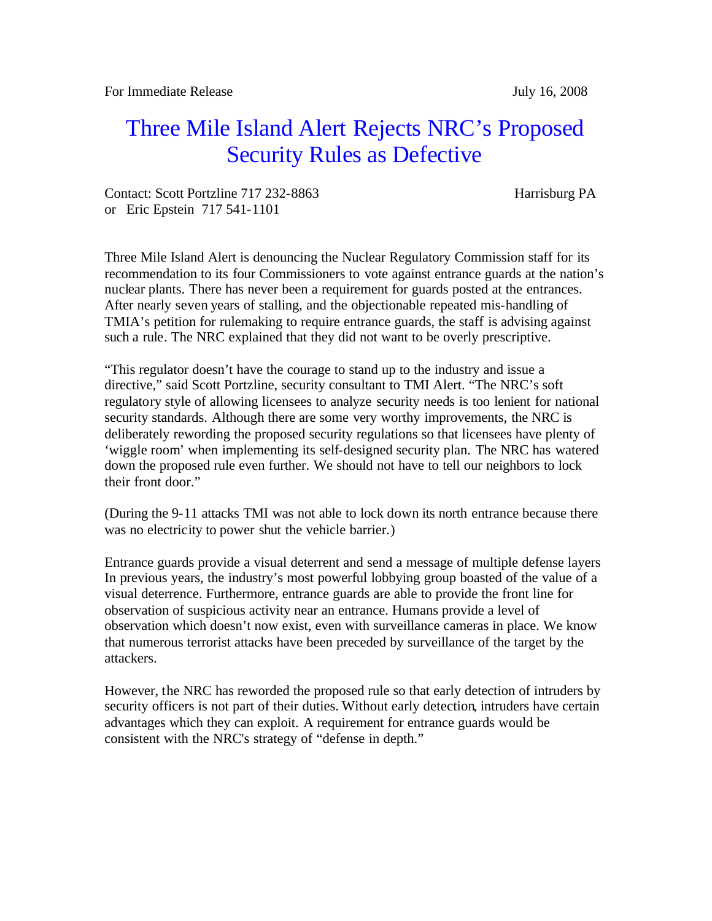## Three Mile Island Alert Rejects NRC's Proposed Security Rules as Defective

Contact: Scott Portzline 717 232-8863 Harrisburg PA or Eric Epstein 717 541-1101

Three Mile Island Alert is denouncing the Nuclear Regulatory Commission staff for its recommendation to its four Commissioners to vote against entrance guards at the nation's nuclear plants. There has never been a requirement for guards posted at the entrances. After nearly seven years of stalling, and the objectionable repeated mis-handling of TMIA's petition for rulemaking to require entrance guards, the staff is advising against such a rule. The NRC explained that they did not want to be overly prescriptive.

"This regulator doesn't have the courage to stand up to the industry and issue a directive," said Scott Portzline, security consultant to TMI Alert. "The NRC's soft regulatory style of allowing licensees to analyze security needs is too lenient for national security standards. Although there are some very worthy improvements, the NRC is deliberately rewording the proposed security regulations so that licensees have plenty of 'wiggle room' when implementing its self-designed security plan. The NRC has watered down the proposed rule even further. We should not have to tell our neighbors to lock their front door."

(During the 9-11 attacks TMI was not able to lock down its north entrance because there was no electricity to power shut the vehicle barrier.)

Entrance guards provide a visual deterrent and send a message of multiple defense layers In previous years, the industry's most powerful lobbying group boasted of the value of a visual deterrence. Furthermore, entrance guards are able to provide the front line for observation of suspicious activity near an entrance. Humans provide a level of observation which doesn't now exist, even with surveillance cameras in place. We know that numerous terrorist attacks have been preceded by surveillance of the target by the attackers.

However, the NRC has reworded the proposed rule so that early detection of intruders by security officers is not part of their duties. Without early detection, intruders have certain advantages which they can exploit. A requirement for entrance guards would be consistent with the NRC's strategy of "defense in depth."